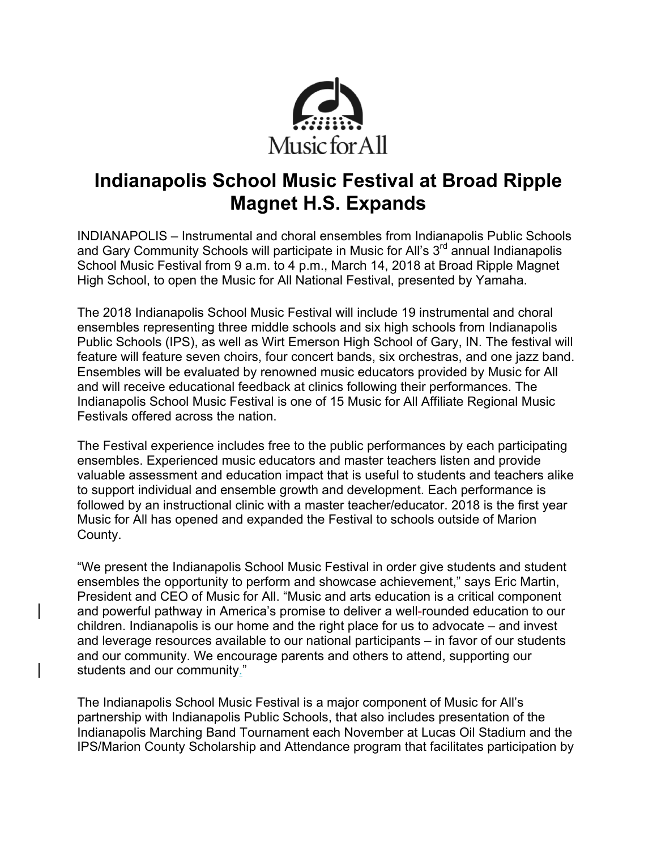

# **Indianapolis School Music Festival at Broad Ripple Magnet H.S. Expands**

INDIANAPOLIS – Instrumental and choral ensembles from Indianapolis Public Schools and Gary Community Schools will participate in Music for All's  $3<sup>rd</sup>$  annual Indianapolis School Music Festival from 9 a.m. to 4 p.m., March 14, 2018 at Broad Ripple Magnet High School, to open the Music for All National Festival, presented by Yamaha.

The 2018 Indianapolis School Music Festival will include 19 instrumental and choral ensembles representing three middle schools and six high schools from Indianapolis Public Schools (IPS), as well as Wirt Emerson High School of Gary, IN. The festival will feature will feature seven choirs, four concert bands, six orchestras, and one jazz band. Ensembles will be evaluated by renowned music educators provided by Music for All and will receive educational feedback at clinics following their performances. The Indianapolis School Music Festival is one of 15 Music for All Affiliate Regional Music Festivals offered across the nation.

The Festival experience includes free to the public performances by each participating ensembles. Experienced music educators and master teachers listen and provide valuable assessment and education impact that is useful to students and teachers alike to support individual and ensemble growth and development. Each performance is followed by an instructional clinic with a master teacher/educator. 2018 is the first year Music for All has opened and expanded the Festival to schools outside of Marion County.

"We present the Indianapolis School Music Festival in order give students and student ensembles the opportunity to perform and showcase achievement," says Eric Martin, President and CEO of Music for All. "Music and arts education is a critical component and powerful pathway in America's promise to deliver a well-rounded education to our children. Indianapolis is our home and the right place for us to advocate – and invest and leverage resources available to our national participants – in favor of our students and our community. We encourage parents and others to attend, supporting our students and our community."

The Indianapolis School Music Festival is a major component of Music for All's partnership with Indianapolis Public Schools, that also includes presentation of the Indianapolis Marching Band Tournament each November at Lucas Oil Stadium and the IPS/Marion County Scholarship and Attendance program that facilitates participation by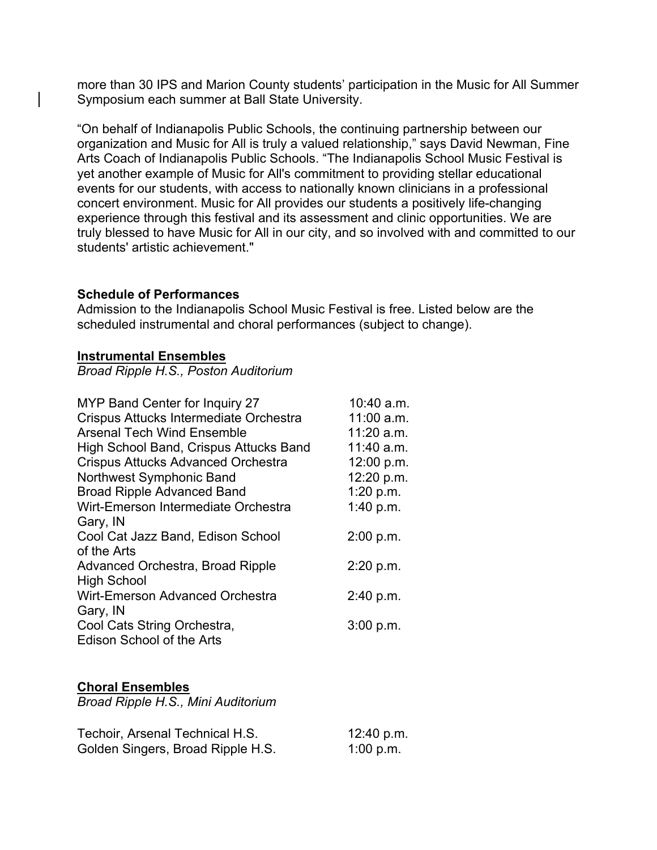more than 30 IPS and Marion County students' participation in the Music for All Summer Symposium each summer at Ball State University.

"On behalf of Indianapolis Public Schools, the continuing partnership between our organization and Music for All is truly a valued relationship," says David Newman, Fine Arts Coach of Indianapolis Public Schools. "The Indianapolis School Music Festival is yet another example of Music for All's commitment to providing stellar educational events for our students, with access to nationally known clinicians in a professional concert environment. Music for All provides our students a positively life-changing experience through this festival and its assessment and clinic opportunities. We are truly blessed to have Music for All in our city, and so involved with and committed to our students' artistic achievement."

#### **Schedule of Performances**

Admission to the Indianapolis School Music Festival is free. Listed below are the scheduled instrumental and choral performances (subject to change).

#### **Instrumental Ensembles**

*Broad Ripple H.S., Poston Auditorium*

| MYP Band Center for Inquiry 27         | 10:40 a.m.   |
|----------------------------------------|--------------|
| Crispus Attucks Intermediate Orchestra | $11:00$ a.m. |
| <b>Arsenal Tech Wind Ensemble</b>      | $11:20$ a.m. |
| High School Band, Crispus Attucks Band | 11:40 a.m.   |
| Crispus Attucks Advanced Orchestra     | 12:00 p.m.   |
| Northwest Symphonic Band               | 12:20 p.m.   |
| <b>Broad Ripple Advanced Band</b>      | 1:20 p.m.    |
| Wirt-Emerson Intermediate Orchestra    | 1:40 p.m.    |
| Gary, IN                               |              |
| Cool Cat Jazz Band, Edison School      | 2:00 p.m.    |
| of the Arts                            |              |
| Advanced Orchestra, Broad Ripple       | 2:20 p.m.    |
| <b>High School</b>                     |              |
| <b>Wirt-Emerson Advanced Orchestra</b> | 2:40 p.m.    |
| Gary, IN                               |              |
| Cool Cats String Orchestra,            | 3:00 p.m.    |
| <b>Edison School of the Arts</b>       |              |

## **Choral Ensembles**

*Broad Ripple H.S., Mini Auditorium*

| Techoir, Arsenal Technical H.S.   | 12:40 p.m. |
|-----------------------------------|------------|
| Golden Singers, Broad Ripple H.S. | 1:00 p.m.  |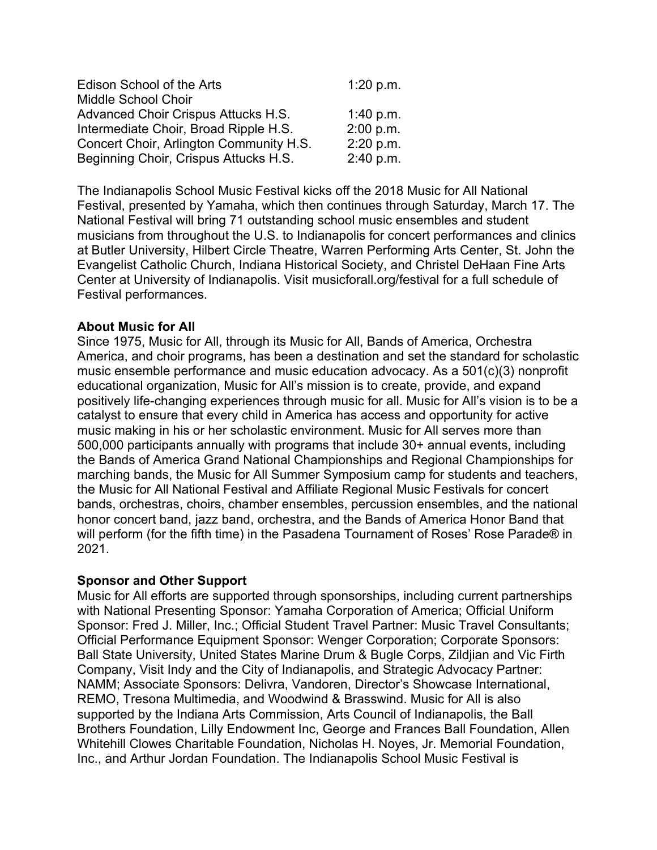| Edison School of the Arts               | 1:20 p.m. |
|-----------------------------------------|-----------|
| Middle School Choir                     |           |
| Advanced Choir Crispus Attucks H.S.     | 1:40 p.m. |
| Intermediate Choir, Broad Ripple H.S.   | 2:00 p.m. |
| Concert Choir, Arlington Community H.S. | 2:20 p.m. |
| Beginning Choir, Crispus Attucks H.S.   | 2:40 p.m. |

The Indianapolis School Music Festival kicks off the 2018 Music for All National Festival, presented by Yamaha, which then continues through Saturday, March 17. The National Festival will bring 71 outstanding school music ensembles and student musicians from throughout the U.S. to Indianapolis for concert performances and clinics at Butler University, Hilbert Circle Theatre, Warren Performing Arts Center, St. John the Evangelist Catholic Church, Indiana Historical Society, and Christel DeHaan Fine Arts Center at University of Indianapolis. Visit musicforall.org/festival for a full schedule of Festival performances.

## **About Music for All**

Since 1975, Music for All, through its Music for All, Bands of America, Orchestra America, and choir programs, has been a destination and set the standard for scholastic music ensemble performance and music education advocacy. As a 501(c)(3) nonprofit educational organization, Music for All's mission is to create, provide, and expand positively life-changing experiences through music for all. Music for All's vision is to be a catalyst to ensure that every child in America has access and opportunity for active music making in his or her scholastic environment. Music for All serves more than 500,000 participants annually with programs that include 30+ annual events, including the Bands of America Grand National Championships and Regional Championships for marching bands, the Music for All Summer Symposium camp for students and teachers, the Music for All National Festival and Affiliate Regional Music Festivals for concert bands, orchestras, choirs, chamber ensembles, percussion ensembles, and the national honor concert band, jazz band, orchestra, and the Bands of America Honor Band that will perform (for the fifth time) in the Pasadena Tournament of Roses' Rose Parade® in 2021.

#### **Sponsor and Other Support**

Music for All efforts are supported through sponsorships, including current partnerships with National Presenting Sponsor: Yamaha Corporation of America; Official Uniform Sponsor: Fred J. Miller, Inc.; Official Student Travel Partner: Music Travel Consultants; Official Performance Equipment Sponsor: Wenger Corporation; Corporate Sponsors: Ball State University, United States Marine Drum & Bugle Corps, Zildjian and Vic Firth Company, Visit Indy and the City of Indianapolis, and Strategic Advocacy Partner: NAMM; Associate Sponsors: Delivra, Vandoren, Director's Showcase International, REMO, Tresona Multimedia, and Woodwind & Brasswind. Music for All is also supported by the Indiana Arts Commission, Arts Council of Indianapolis, the Ball Brothers Foundation, Lilly Endowment Inc, George and Frances Ball Foundation, Allen Whitehill Clowes Charitable Foundation, Nicholas H. Noyes, Jr. Memorial Foundation, Inc., and Arthur Jordan Foundation. The Indianapolis School Music Festival is